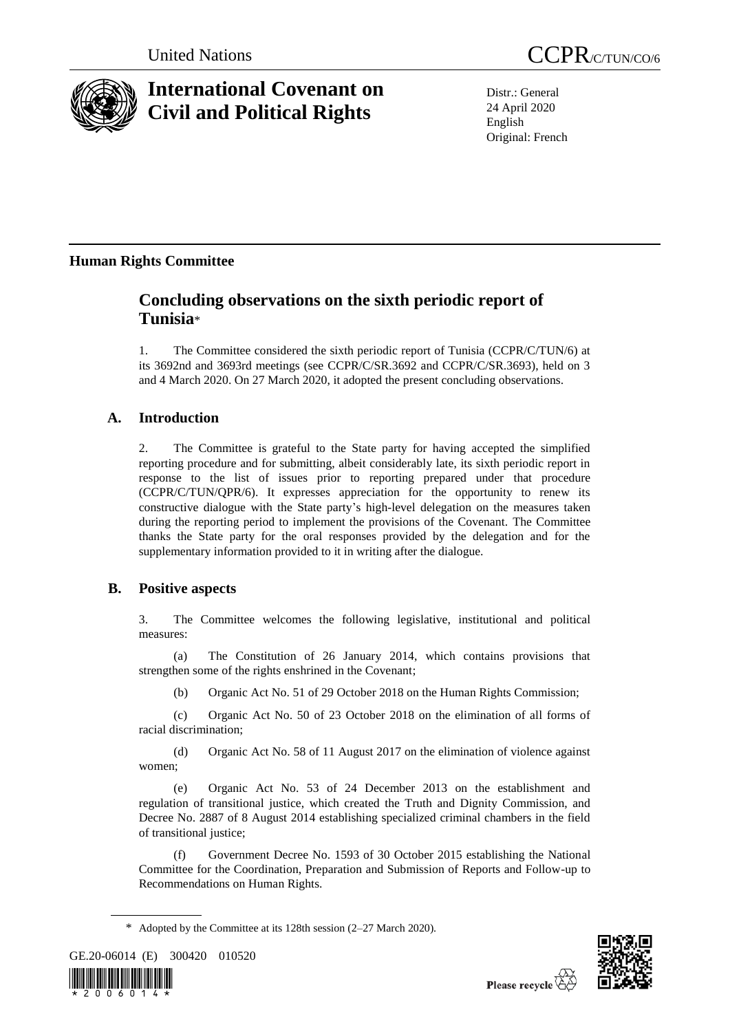

# **International Covenant on Civil and Political Rights**

United Nations CCPR/C/TUN/CO/6

Distr.: General 24 April 2020 English Original: French

# **Human Rights Committee**

# **Concluding observations on the sixth periodic report of Tunisia**\*

1. The Committee considered the sixth periodic report of Tunisia (CCPR/C/TUN/6) at its 3692nd and 3693rd meetings (see CCPR/C/SR.3692 and CCPR/C/SR.3693), held on 3 and 4 March 2020. On 27 March 2020, it adopted the present concluding observations.

# **A. Introduction**

2. The Committee is grateful to the State party for having accepted the simplified reporting procedure and for submitting, albeit considerably late, its sixth periodic report in response to the list of issues prior to reporting prepared under that procedure (CCPR/C/TUN/QPR/6). It expresses appreciation for the opportunity to renew its constructive dialogue with the State party's high-level delegation on the measures taken during the reporting period to implement the provisions of the Covenant. The Committee thanks the State party for the oral responses provided by the delegation and for the supplementary information provided to it in writing after the dialogue.

### **B. Positive aspects**

3. The Committee welcomes the following legislative, institutional and political measures:

(a) The Constitution of 26 January 2014, which contains provisions that strengthen some of the rights enshrined in the Covenant;

(b) Organic Act No. 51 of 29 October 2018 on the Human Rights Commission;

(c) Organic Act No. 50 of 23 October 2018 on the elimination of all forms of racial discrimination;

(d) Organic Act No. 58 of 11 August 2017 on the elimination of violence against women;

(e) Organic Act No. 53 of 24 December 2013 on the establishment and regulation of transitional justice, which created the Truth and Dignity Commission, and Decree No. 2887 of 8 August 2014 establishing specialized criminal chambers in the field of transitional justice;

(f) Government Decree No. 1593 of 30 October 2015 establishing the National Committee for the Coordination, Preparation and Submission of Reports and Follow-up to Recommendations on Human Rights.

GE.20-06014 (E) 300420 010520





<sup>\*</sup> Adopted by the Committee at its 128th session (2–27 March 2020).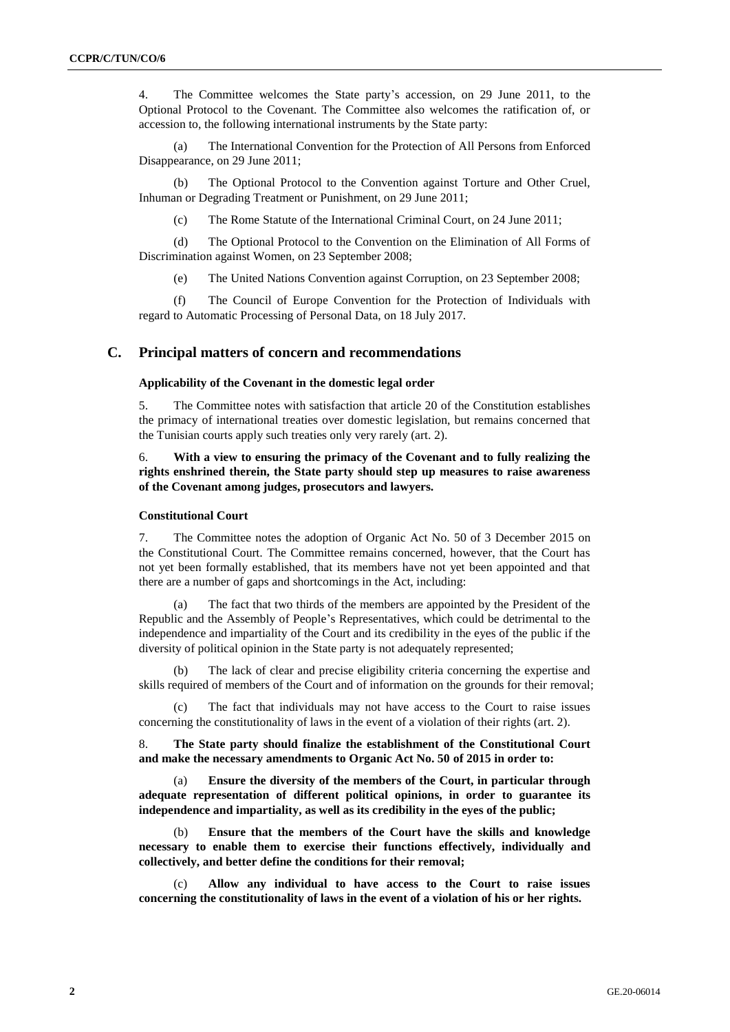4. The Committee welcomes the State party's accession, on 29 June 2011, to the Optional Protocol to the Covenant. The Committee also welcomes the ratification of, or accession to, the following international instruments by the State party:

(a) The International Convention for the Protection of All Persons from Enforced Disappearance, on 29 June 2011;

(b) The Optional Protocol to the Convention against Torture and Other Cruel, Inhuman or Degrading Treatment or Punishment, on 29 June 2011;

(c) The Rome Statute of the International Criminal Court, on 24 June 2011;

(d) The Optional Protocol to the Convention on the Elimination of All Forms of Discrimination against Women, on 23 September 2008;

(e) The United Nations Convention against Corruption, on 23 September 2008;

(f) The Council of Europe Convention for the Protection of Individuals with regard to Automatic Processing of Personal Data, on 18 July 2017.

#### **C. Principal matters of concern and recommendations**

#### **Applicability of the Covenant in the domestic legal order**

5. The Committee notes with satisfaction that article 20 of the Constitution establishes the primacy of international treaties over domestic legislation, but remains concerned that the Tunisian courts apply such treaties only very rarely (art. 2).

#### 6. **With a view to ensuring the primacy of the Covenant and to fully realizing the rights enshrined therein, the State party should step up measures to raise awareness of the Covenant among judges, prosecutors and lawyers.**

#### **Constitutional Court**

7. The Committee notes the adoption of Organic Act No. 50 of 3 December 2015 on the Constitutional Court. The Committee remains concerned, however, that the Court has not yet been formally established, that its members have not yet been appointed and that there are a number of gaps and shortcomings in the Act, including:

(a) The fact that two thirds of the members are appointed by the President of the Republic and the Assembly of People's Representatives, which could be detrimental to the independence and impartiality of the Court and its credibility in the eyes of the public if the diversity of political opinion in the State party is not adequately represented;

The lack of clear and precise eligibility criteria concerning the expertise and skills required of members of the Court and of information on the grounds for their removal;

The fact that individuals may not have access to the Court to raise issues concerning the constitutionality of laws in the event of a violation of their rights (art. 2).

8. **The State party should finalize the establishment of the Constitutional Court and make the necessary amendments to Organic Act No. 50 of 2015 in order to:**

(a) **Ensure the diversity of the members of the Court, in particular through adequate representation of different political opinions, in order to guarantee its independence and impartiality, as well as its credibility in the eyes of the public;**

(b) **Ensure that the members of the Court have the skills and knowledge necessary to enable them to exercise their functions effectively, individually and collectively, and better define the conditions for their removal;**

(c) **Allow any individual to have access to the Court to raise issues concerning the constitutionality of laws in the event of a violation of his or her rights.**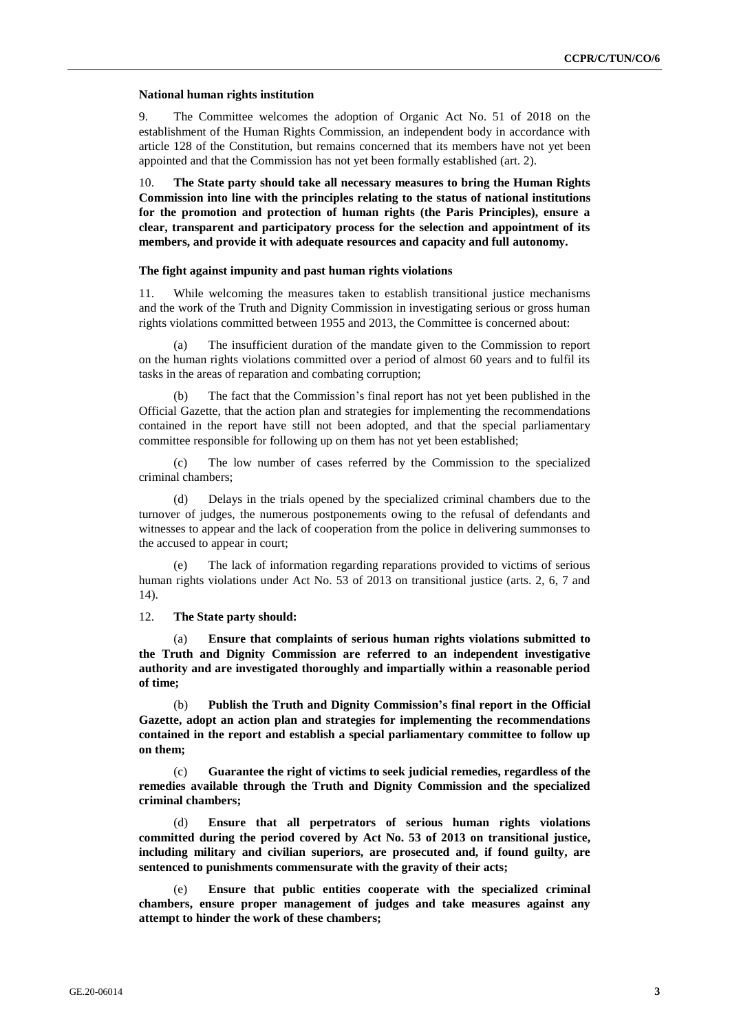#### **National human rights institution**

9. The Committee welcomes the adoption of Organic Act No. 51 of 2018 on the establishment of the Human Rights Commission, an independent body in accordance with article 128 of the Constitution, but remains concerned that its members have not yet been appointed and that the Commission has not yet been formally established (art. 2).

10. **The State party should take all necessary measures to bring the Human Rights Commission into line with the principles relating to the status of national institutions for the promotion and protection of human rights (the Paris Principles), ensure a clear, transparent and participatory process for the selection and appointment of its members, and provide it with adequate resources and capacity and full autonomy.**

#### **The fight against impunity and past human rights violations**

11. While welcoming the measures taken to establish transitional justice mechanisms and the work of the Truth and Dignity Commission in investigating serious or gross human rights violations committed between 1955 and 2013, the Committee is concerned about:

(a) The insufficient duration of the mandate given to the Commission to report on the human rights violations committed over a period of almost 60 years and to fulfil its tasks in the areas of reparation and combating corruption;

(b) The fact that the Commission's final report has not yet been published in the Official Gazette, that the action plan and strategies for implementing the recommendations contained in the report have still not been adopted, and that the special parliamentary committee responsible for following up on them has not yet been established;

(c) The low number of cases referred by the Commission to the specialized criminal chambers;

(d) Delays in the trials opened by the specialized criminal chambers due to the turnover of judges, the numerous postponements owing to the refusal of defendants and witnesses to appear and the lack of cooperation from the police in delivering summonses to the accused to appear in court;

(e) The lack of information regarding reparations provided to victims of serious human rights violations under Act No. 53 of 2013 on transitional justice (arts. 2, 6, 7 and 14).

12. **The State party should:**

(a) **Ensure that complaints of serious human rights violations submitted to the Truth and Dignity Commission are referred to an independent investigative authority and are investigated thoroughly and impartially within a reasonable period of time;**

(b) **Publish the Truth and Dignity Commission's final report in the Official Gazette, adopt an action plan and strategies for implementing the recommendations contained in the report and establish a special parliamentary committee to follow up on them;**

(c) **Guarantee the right of victims to seek judicial remedies, regardless of the remedies available through the Truth and Dignity Commission and the specialized criminal chambers;**

(d) **Ensure that all perpetrators of serious human rights violations committed during the period covered by Act No. 53 of 2013 on transitional justice, including military and civilian superiors, are prosecuted and, if found guilty, are sentenced to punishments commensurate with the gravity of their acts;**

(e) **Ensure that public entities cooperate with the specialized criminal chambers, ensure proper management of judges and take measures against any attempt to hinder the work of these chambers;**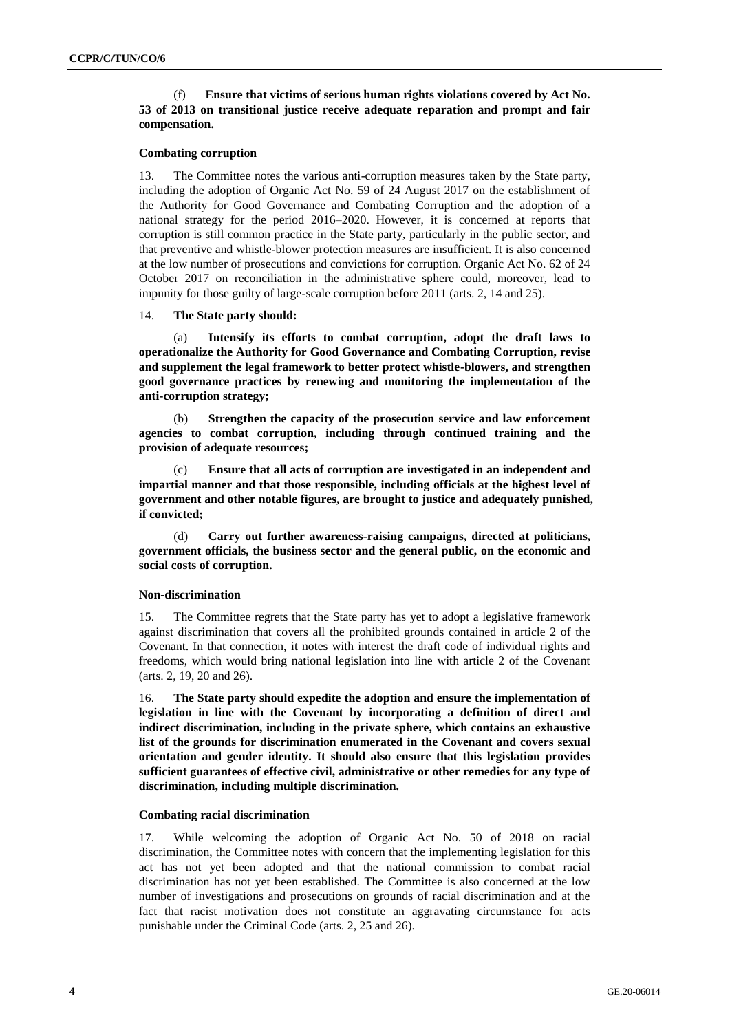#### (f) **Ensure that victims of serious human rights violations covered by Act No. 53 of 2013 on transitional justice receive adequate reparation and prompt and fair compensation.**

#### **Combating corruption**

13. The Committee notes the various anti-corruption measures taken by the State party, including the adoption of Organic Act No. 59 of 24 August 2017 on the establishment of the Authority for Good Governance and Combating Corruption and the adoption of a national strategy for the period 2016–2020. However, it is concerned at reports that corruption is still common practice in the State party, particularly in the public sector, and that preventive and whistle-blower protection measures are insufficient. It is also concerned at the low number of prosecutions and convictions for corruption. Organic Act No. 62 of 24 October 2017 on reconciliation in the administrative sphere could, moreover, lead to impunity for those guilty of large-scale corruption before 2011 (arts. 2, 14 and 25).

#### 14. **The State party should:**

(a) **Intensify its efforts to combat corruption, adopt the draft laws to operationalize the Authority for Good Governance and Combating Corruption, revise and supplement the legal framework to better protect whistle-blowers, and strengthen good governance practices by renewing and monitoring the implementation of the anti-corruption strategy;**

(b) **Strengthen the capacity of the prosecution service and law enforcement agencies to combat corruption, including through continued training and the provision of adequate resources;**

(c) **Ensure that all acts of corruption are investigated in an independent and impartial manner and that those responsible, including officials at the highest level of government and other notable figures, are brought to justice and adequately punished, if convicted;**

(d) **Carry out further awareness-raising campaigns, directed at politicians, government officials, the business sector and the general public, on the economic and social costs of corruption.**

#### **Non-discrimination**

15. The Committee regrets that the State party has yet to adopt a legislative framework against discrimination that covers all the prohibited grounds contained in article 2 of the Covenant. In that connection, it notes with interest the draft code of individual rights and freedoms, which would bring national legislation into line with article 2 of the Covenant (arts. 2, 19, 20 and 26).

16. **The State party should expedite the adoption and ensure the implementation of legislation in line with the Covenant by incorporating a definition of direct and indirect discrimination, including in the private sphere, which contains an exhaustive list of the grounds for discrimination enumerated in the Covenant and covers sexual orientation and gender identity. It should also ensure that this legislation provides sufficient guarantees of effective civil, administrative or other remedies for any type of discrimination, including multiple discrimination.**

#### **Combating racial discrimination**

17. While welcoming the adoption of Organic Act No. 50 of 2018 on racial discrimination, the Committee notes with concern that the implementing legislation for this act has not yet been adopted and that the national commission to combat racial discrimination has not yet been established. The Committee is also concerned at the low number of investigations and prosecutions on grounds of racial discrimination and at the fact that racist motivation does not constitute an aggravating circumstance for acts punishable under the Criminal Code (arts. 2, 25 and 26).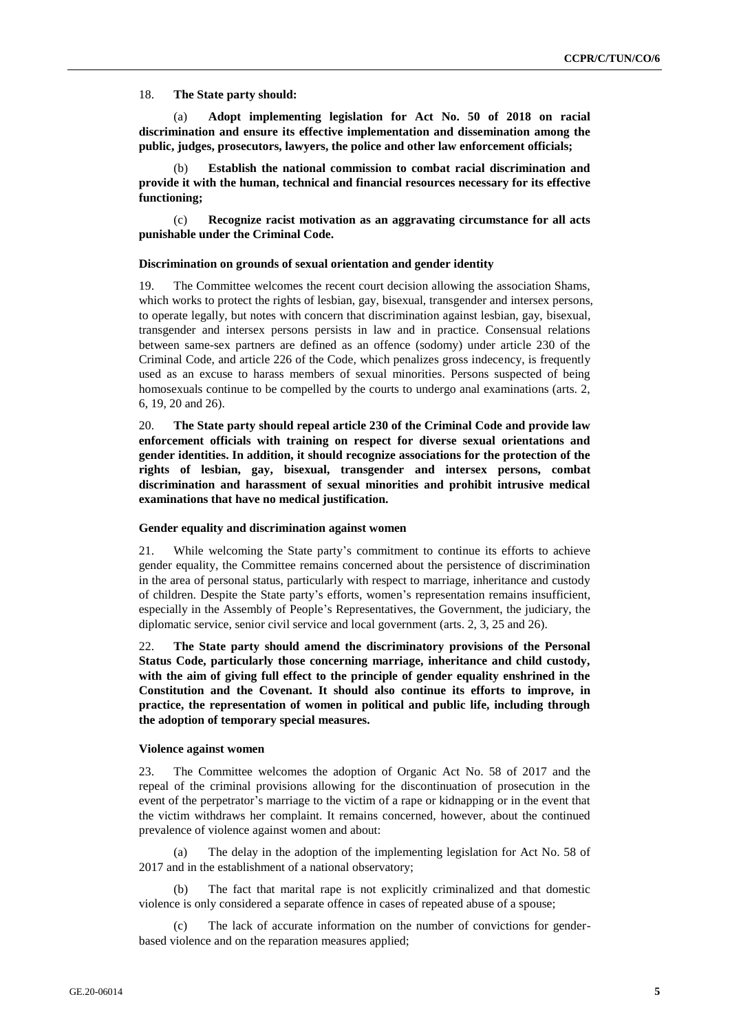#### 18. **The State party should:**

(a) **Adopt implementing legislation for Act No. 50 of 2018 on racial discrimination and ensure its effective implementation and dissemination among the public, judges, prosecutors, lawyers, the police and other law enforcement officials;**

(b) **Establish the national commission to combat racial discrimination and provide it with the human, technical and financial resources necessary for its effective functioning;**

(c) **Recognize racist motivation as an aggravating circumstance for all acts punishable under the Criminal Code.**

#### **Discrimination on grounds of sexual orientation and gender identity**

19. The Committee welcomes the recent court decision allowing the association Shams, which works to protect the rights of lesbian, gay, bisexual, transgender and intersex persons, to operate legally, but notes with concern that discrimination against lesbian, gay, bisexual, transgender and intersex persons persists in law and in practice. Consensual relations between same-sex partners are defined as an offence (sodomy) under article 230 of the Criminal Code, and article 226 of the Code, which penalizes gross indecency, is frequently used as an excuse to harass members of sexual minorities. Persons suspected of being homosexuals continue to be compelled by the courts to undergo anal examinations (arts. 2, 6, 19, 20 and 26).

20. **The State party should repeal article 230 of the Criminal Code and provide law enforcement officials with training on respect for diverse sexual orientations and gender identities. In addition, it should recognize associations for the protection of the rights of lesbian, gay, bisexual, transgender and intersex persons, combat discrimination and harassment of sexual minorities and prohibit intrusive medical examinations that have no medical justification.**

#### **Gender equality and discrimination against women**

21. While welcoming the State party's commitment to continue its efforts to achieve gender equality, the Committee remains concerned about the persistence of discrimination in the area of personal status, particularly with respect to marriage, inheritance and custody of children. Despite the State party's efforts, women's representation remains insufficient, especially in the Assembly of People's Representatives, the Government, the judiciary, the diplomatic service, senior civil service and local government (arts. 2, 3, 25 and 26).

22. **The State party should amend the discriminatory provisions of the Personal Status Code, particularly those concerning marriage, inheritance and child custody, with the aim of giving full effect to the principle of gender equality enshrined in the Constitution and the Covenant. It should also continue its efforts to improve, in practice, the representation of women in political and public life, including through the adoption of temporary special measures.**

#### **Violence against women**

23. The Committee welcomes the adoption of Organic Act No. 58 of 2017 and the repeal of the criminal provisions allowing for the discontinuation of prosecution in the event of the perpetrator's marriage to the victim of a rape or kidnapping or in the event that the victim withdraws her complaint. It remains concerned, however, about the continued prevalence of violence against women and about:

The delay in the adoption of the implementing legislation for Act No. 58 of 2017 and in the establishment of a national observatory;

(b) The fact that marital rape is not explicitly criminalized and that domestic violence is only considered a separate offence in cases of repeated abuse of a spouse;

The lack of accurate information on the number of convictions for genderbased violence and on the reparation measures applied;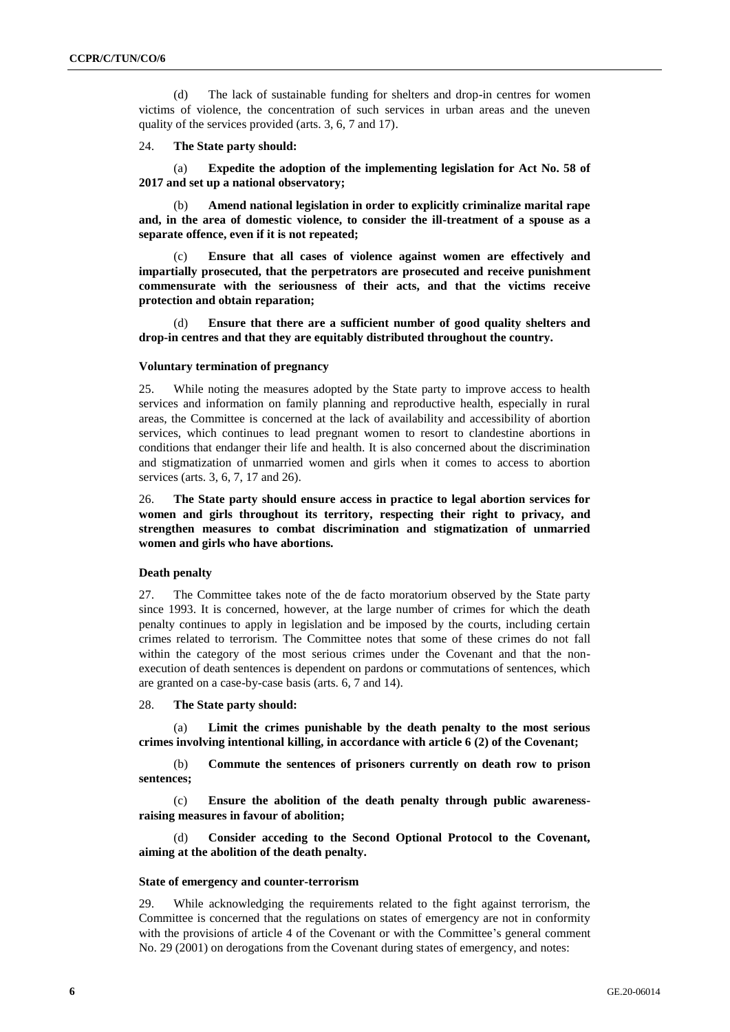(d) The lack of sustainable funding for shelters and drop-in centres for women victims of violence, the concentration of such services in urban areas and the uneven quality of the services provided (arts. 3, 6, 7 and 17).

#### 24. **The State party should:**

(a) **Expedite the adoption of the implementing legislation for Act No. 58 of 2017 and set up a national observatory;**

(b) **Amend national legislation in order to explicitly criminalize marital rape and, in the area of domestic violence, to consider the ill-treatment of a spouse as a separate offence, even if it is not repeated;**

(c) **Ensure that all cases of violence against women are effectively and impartially prosecuted, that the perpetrators are prosecuted and receive punishment commensurate with the seriousness of their acts, and that the victims receive protection and obtain reparation;**

(d) **Ensure that there are a sufficient number of good quality shelters and drop-in centres and that they are equitably distributed throughout the country.**

#### **Voluntary termination of pregnancy**

25. While noting the measures adopted by the State party to improve access to health services and information on family planning and reproductive health, especially in rural areas, the Committee is concerned at the lack of availability and accessibility of abortion services, which continues to lead pregnant women to resort to clandestine abortions in conditions that endanger their life and health. It is also concerned about the discrimination and stigmatization of unmarried women and girls when it comes to access to abortion services (arts. 3, 6, 7, 17 and 26).

26. **The State party should ensure access in practice to legal abortion services for women and girls throughout its territory, respecting their right to privacy, and strengthen measures to combat discrimination and stigmatization of unmarried women and girls who have abortions.**

#### **Death penalty**

27. The Committee takes note of the de facto moratorium observed by the State party since 1993. It is concerned, however, at the large number of crimes for which the death penalty continues to apply in legislation and be imposed by the courts, including certain crimes related to terrorism. The Committee notes that some of these crimes do not fall within the category of the most serious crimes under the Covenant and that the nonexecution of death sentences is dependent on pardons or commutations of sentences, which are granted on a case-by-case basis (arts. 6, 7 and 14).

#### 28. **The State party should:**

(a) **Limit the crimes punishable by the death penalty to the most serious crimes involving intentional killing, in accordance with article 6 (2) of the Covenant;**

(b) **Commute the sentences of prisoners currently on death row to prison sentences;**

(c) **Ensure the abolition of the death penalty through public awarenessraising measures in favour of abolition;**

(d) **Consider acceding to the Second Optional Protocol to the Covenant, aiming at the abolition of the death penalty.**

#### **State of emergency and counter-terrorism**

29. While acknowledging the requirements related to the fight against terrorism, the Committee is concerned that the regulations on states of emergency are not in conformity with the provisions of article 4 of the Covenant or with the Committee's general comment No. 29 (2001) on derogations from the Covenant during states of emergency, and notes: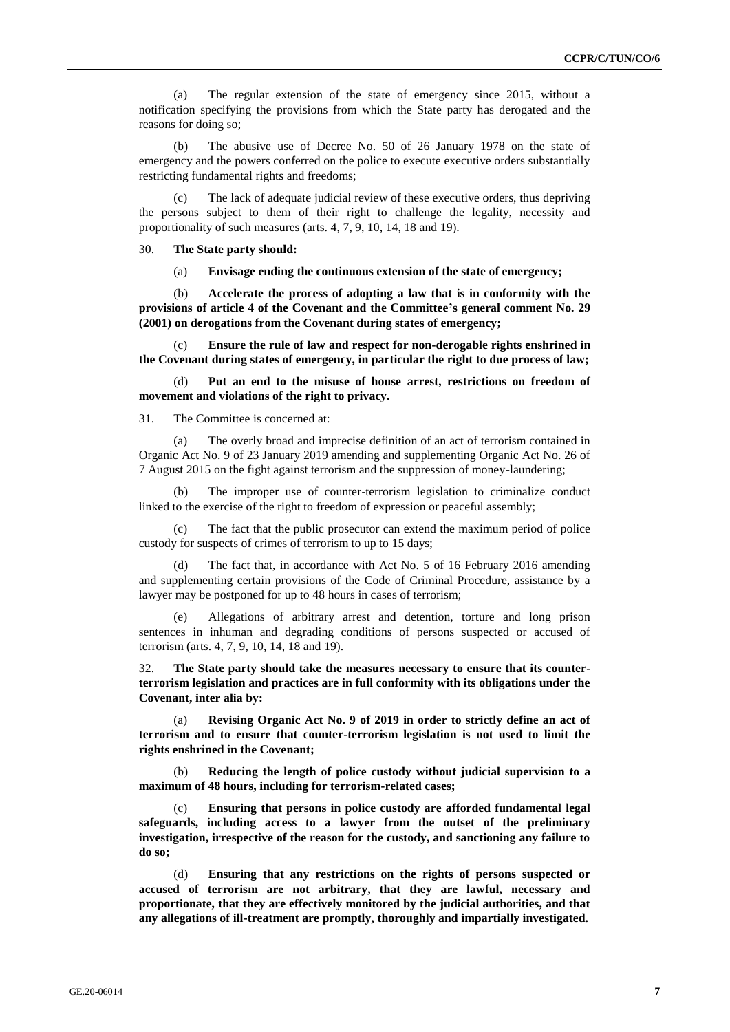(a) The regular extension of the state of emergency since 2015, without a notification specifying the provisions from which the State party has derogated and the reasons for doing so;

(b) The abusive use of Decree No. 50 of 26 January 1978 on the state of emergency and the powers conferred on the police to execute executive orders substantially restricting fundamental rights and freedoms;

(c) The lack of adequate judicial review of these executive orders, thus depriving the persons subject to them of their right to challenge the legality, necessity and proportionality of such measures (arts. 4, 7, 9, 10, 14, 18 and 19).

30. **The State party should:**

(a) **Envisage ending the continuous extension of the state of emergency;**

(b) **Accelerate the process of adopting a law that is in conformity with the provisions of article 4 of the Covenant and the Committee's general comment No. 29 (2001) on derogations from the Covenant during states of emergency;**

(c) **Ensure the rule of law and respect for non-derogable rights enshrined in the Covenant during states of emergency, in particular the right to due process of law;**

Put an end to the misuse of house arrest, restrictions on freedom of **movement and violations of the right to privacy.**

31. The Committee is concerned at:

(a) The overly broad and imprecise definition of an act of terrorism contained in Organic Act No. 9 of 23 January 2019 amending and supplementing Organic Act No. 26 of 7 August 2015 on the fight against terrorism and the suppression of money-laundering;

The improper use of counter-terrorism legislation to criminalize conduct linked to the exercise of the right to freedom of expression or peaceful assembly;

(c) The fact that the public prosecutor can extend the maximum period of police custody for suspects of crimes of terrorism to up to 15 days;

(d) The fact that, in accordance with Act No. 5 of 16 February 2016 amending and supplementing certain provisions of the Code of Criminal Procedure, assistance by a lawyer may be postponed for up to 48 hours in cases of terrorism;

(e) Allegations of arbitrary arrest and detention, torture and long prison sentences in inhuman and degrading conditions of persons suspected or accused of terrorism (arts. 4, 7, 9, 10, 14, 18 and 19).

32. **The State party should take the measures necessary to ensure that its counterterrorism legislation and practices are in full conformity with its obligations under the Covenant, inter alia by:**

(a) **Revising Organic Act No. 9 of 2019 in order to strictly define an act of terrorism and to ensure that counter-terrorism legislation is not used to limit the rights enshrined in the Covenant;**

(b) **Reducing the length of police custody without judicial supervision to a maximum of 48 hours, including for terrorism-related cases;**

(c) **Ensuring that persons in police custody are afforded fundamental legal safeguards, including access to a lawyer from the outset of the preliminary investigation, irrespective of the reason for the custody, and sanctioning any failure to do so;**

(d) **Ensuring that any restrictions on the rights of persons suspected or accused of terrorism are not arbitrary, that they are lawful, necessary and proportionate, that they are effectively monitored by the judicial authorities, and that any allegations of ill-treatment are promptly, thoroughly and impartially investigated.**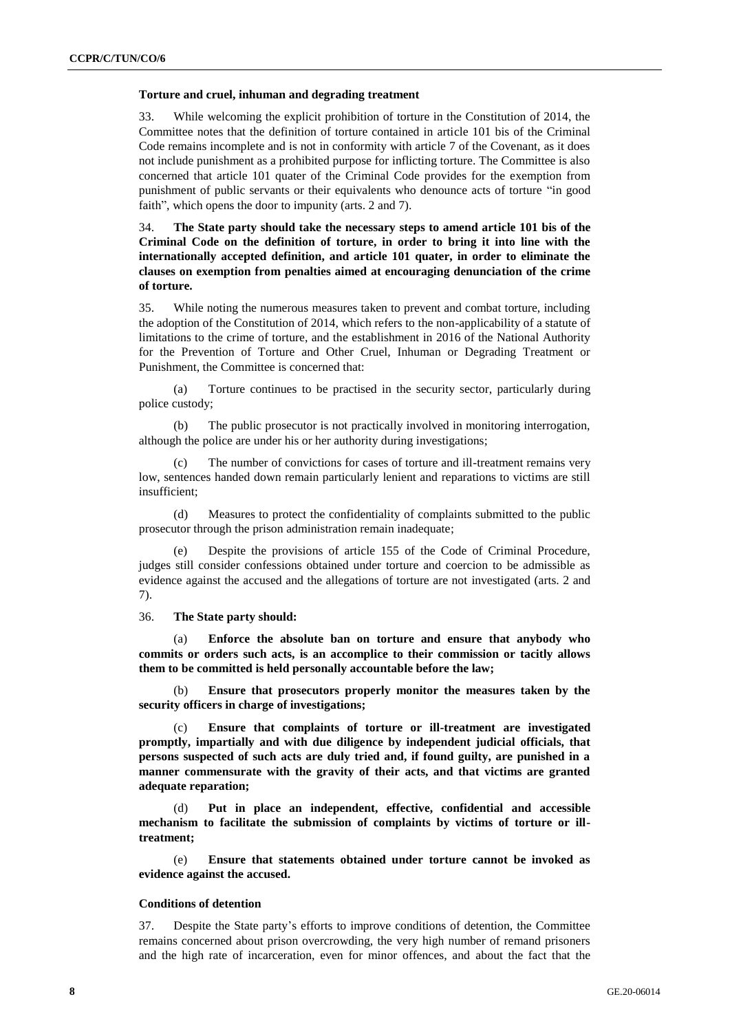#### **Torture and cruel, inhuman and degrading treatment**

33. While welcoming the explicit prohibition of torture in the Constitution of 2014, the Committee notes that the definition of torture contained in article 101 bis of the Criminal Code remains incomplete and is not in conformity with article 7 of the Covenant, as it does not include punishment as a prohibited purpose for inflicting torture. The Committee is also concerned that article 101 quater of the Criminal Code provides for the exemption from punishment of public servants or their equivalents who denounce acts of torture "in good faith", which opens the door to impunity (arts. 2 and 7).

34. **The State party should take the necessary steps to amend article 101 bis of the Criminal Code on the definition of torture, in order to bring it into line with the internationally accepted definition, and article 101 quater, in order to eliminate the clauses on exemption from penalties aimed at encouraging denunciation of the crime of torture.**

35. While noting the numerous measures taken to prevent and combat torture, including the adoption of the Constitution of 2014, which refers to the non-applicability of a statute of limitations to the crime of torture, and the establishment in 2016 of the National Authority for the Prevention of Torture and Other Cruel, Inhuman or Degrading Treatment or Punishment, the Committee is concerned that:

(a) Torture continues to be practised in the security sector, particularly during police custody;

(b) The public prosecutor is not practically involved in monitoring interrogation, although the police are under his or her authority during investigations;

The number of convictions for cases of torture and ill-treatment remains very low, sentences handed down remain particularly lenient and reparations to victims are still insufficient;

(d) Measures to protect the confidentiality of complaints submitted to the public prosecutor through the prison administration remain inadequate;

(e) Despite the provisions of article 155 of the Code of Criminal Procedure, judges still consider confessions obtained under torture and coercion to be admissible as evidence against the accused and the allegations of torture are not investigated (arts. 2 and 7).

36. **The State party should:**

(a) **Enforce the absolute ban on torture and ensure that anybody who commits or orders such acts, is an accomplice to their commission or tacitly allows them to be committed is held personally accountable before the law;**

(b) **Ensure that prosecutors properly monitor the measures taken by the security officers in charge of investigations;**

(c) **Ensure that complaints of torture or ill-treatment are investigated promptly, impartially and with due diligence by independent judicial officials, that persons suspected of such acts are duly tried and, if found guilty, are punished in a manner commensurate with the gravity of their acts, and that victims are granted adequate reparation;**

(d) **Put in place an independent, effective, confidential and accessible mechanism to facilitate the submission of complaints by victims of torture or illtreatment;**

(e) **Ensure that statements obtained under torture cannot be invoked as evidence against the accused.**

#### **Conditions of detention**

37. Despite the State party's efforts to improve conditions of detention, the Committee remains concerned about prison overcrowding, the very high number of remand prisoners and the high rate of incarceration, even for minor offences, and about the fact that the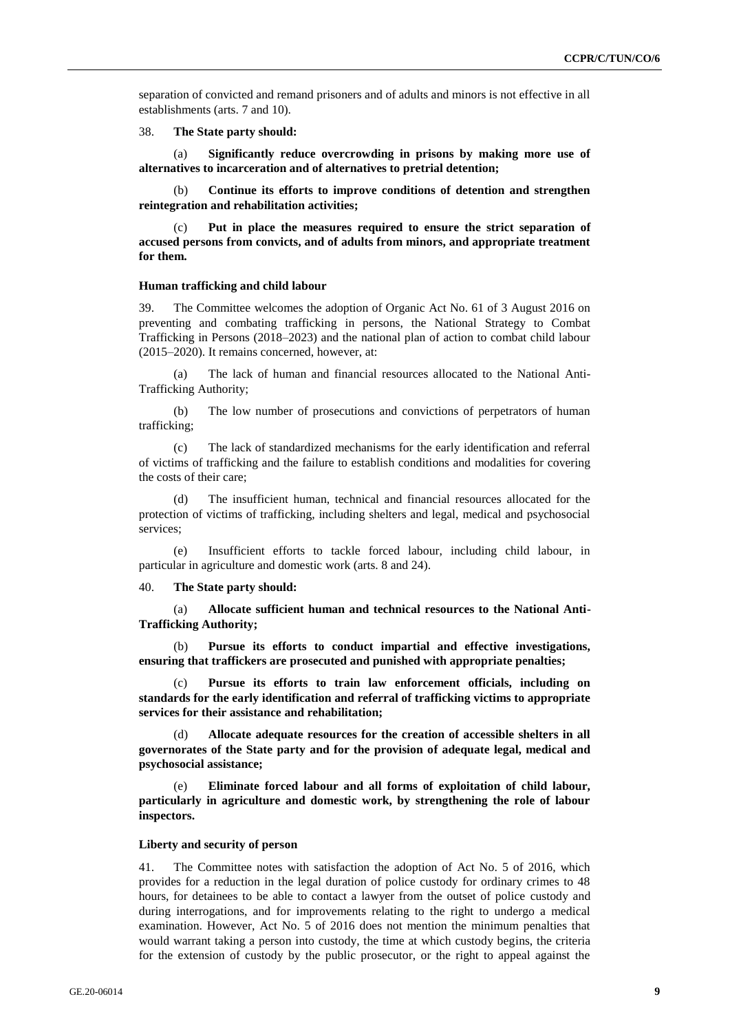separation of convicted and remand prisoners and of adults and minors is not effective in all establishments (arts. 7 and 10).

38. **The State party should:**

(a) **Significantly reduce overcrowding in prisons by making more use of alternatives to incarceration and of alternatives to pretrial detention;**

(b) **Continue its efforts to improve conditions of detention and strengthen reintegration and rehabilitation activities;**

(c) **Put in place the measures required to ensure the strict separation of accused persons from convicts, and of adults from minors, and appropriate treatment for them.**

#### **Human trafficking and child labour**

39. The Committee welcomes the adoption of Organic Act No. 61 of 3 August 2016 on preventing and combating trafficking in persons, the National Strategy to Combat Trafficking in Persons (2018–2023) and the national plan of action to combat child labour (2015–2020). It remains concerned, however, at:

(a) The lack of human and financial resources allocated to the National Anti-Trafficking Authority;

(b) The low number of prosecutions and convictions of perpetrators of human trafficking;

(c) The lack of standardized mechanisms for the early identification and referral of victims of trafficking and the failure to establish conditions and modalities for covering the costs of their care;

(d) The insufficient human, technical and financial resources allocated for the protection of victims of trafficking, including shelters and legal, medical and psychosocial services;

(e) Insufficient efforts to tackle forced labour, including child labour, in particular in agriculture and domestic work (arts. 8 and 24).

40. **The State party should:**

(a) **Allocate sufficient human and technical resources to the National Anti-Trafficking Authority;**

(b) **Pursue its efforts to conduct impartial and effective investigations, ensuring that traffickers are prosecuted and punished with appropriate penalties;**

Pursue its efforts to train law enforcement officials, including on **standards for the early identification and referral of trafficking victims to appropriate services for their assistance and rehabilitation;**

Allocate adequate resources for the creation of accessible shelters in all **governorates of the State party and for the provision of adequate legal, medical and psychosocial assistance;**

(e) **Eliminate forced labour and all forms of exploitation of child labour, particularly in agriculture and domestic work, by strengthening the role of labour inspectors.**

#### **Liberty and security of person**

41. The Committee notes with satisfaction the adoption of Act No. 5 of 2016, which provides for a reduction in the legal duration of police custody for ordinary crimes to 48 hours, for detainees to be able to contact a lawyer from the outset of police custody and during interrogations, and for improvements relating to the right to undergo a medical examination. However, Act No. 5 of 2016 does not mention the minimum penalties that would warrant taking a person into custody, the time at which custody begins, the criteria for the extension of custody by the public prosecutor, or the right to appeal against the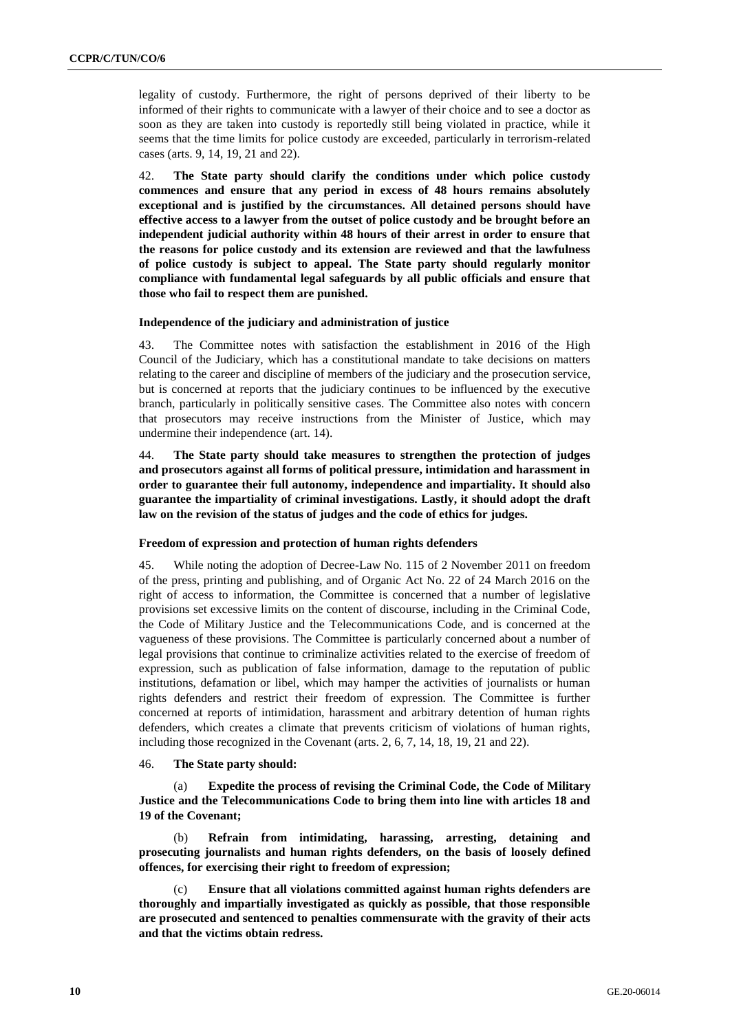legality of custody. Furthermore, the right of persons deprived of their liberty to be informed of their rights to communicate with a lawyer of their choice and to see a doctor as soon as they are taken into custody is reportedly still being violated in practice, while it seems that the time limits for police custody are exceeded, particularly in terrorism-related cases (arts. 9, 14, 19, 21 and 22).

42. **The State party should clarify the conditions under which police custody commences and ensure that any period in excess of 48 hours remains absolutely exceptional and is justified by the circumstances. All detained persons should have effective access to a lawyer from the outset of police custody and be brought before an independent judicial authority within 48 hours of their arrest in order to ensure that the reasons for police custody and its extension are reviewed and that the lawfulness of police custody is subject to appeal. The State party should regularly monitor compliance with fundamental legal safeguards by all public officials and ensure that those who fail to respect them are punished.**

#### **Independence of the judiciary and administration of justice**

43. The Committee notes with satisfaction the establishment in 2016 of the High Council of the Judiciary, which has a constitutional mandate to take decisions on matters relating to the career and discipline of members of the judiciary and the prosecution service, but is concerned at reports that the judiciary continues to be influenced by the executive branch, particularly in politically sensitive cases. The Committee also notes with concern that prosecutors may receive instructions from the Minister of Justice, which may undermine their independence (art. 14).

44. **The State party should take measures to strengthen the protection of judges and prosecutors against all forms of political pressure, intimidation and harassment in order to guarantee their full autonomy, independence and impartiality. It should also guarantee the impartiality of criminal investigations. Lastly, it should adopt the draft law on the revision of the status of judges and the code of ethics for judges.**

#### **Freedom of expression and protection of human rights defenders**

45. While noting the adoption of Decree-Law No. 115 of 2 November 2011 on freedom of the press, printing and publishing, and of Organic Act No. 22 of 24 March 2016 on the right of access to information, the Committee is concerned that a number of legislative provisions set excessive limits on the content of discourse, including in the Criminal Code, the Code of Military Justice and the Telecommunications Code, and is concerned at the vagueness of these provisions. The Committee is particularly concerned about a number of legal provisions that continue to criminalize activities related to the exercise of freedom of expression, such as publication of false information, damage to the reputation of public institutions, defamation or libel, which may hamper the activities of journalists or human rights defenders and restrict their freedom of expression. The Committee is further concerned at reports of intimidation, harassment and arbitrary detention of human rights defenders, which creates a climate that prevents criticism of violations of human rights, including those recognized in the Covenant (arts. 2, 6, 7, 14, 18, 19, 21 and 22).

#### 46. **The State party should:**

(a) **Expedite the process of revising the Criminal Code, the Code of Military Justice and the Telecommunications Code to bring them into line with articles 18 and 19 of the Covenant;**

(b) **Refrain from intimidating, harassing, arresting, detaining and prosecuting journalists and human rights defenders, on the basis of loosely defined offences, for exercising their right to freedom of expression;**

(c) **Ensure that all violations committed against human rights defenders are thoroughly and impartially investigated as quickly as possible, that those responsible are prosecuted and sentenced to penalties commensurate with the gravity of their acts and that the victims obtain redress.**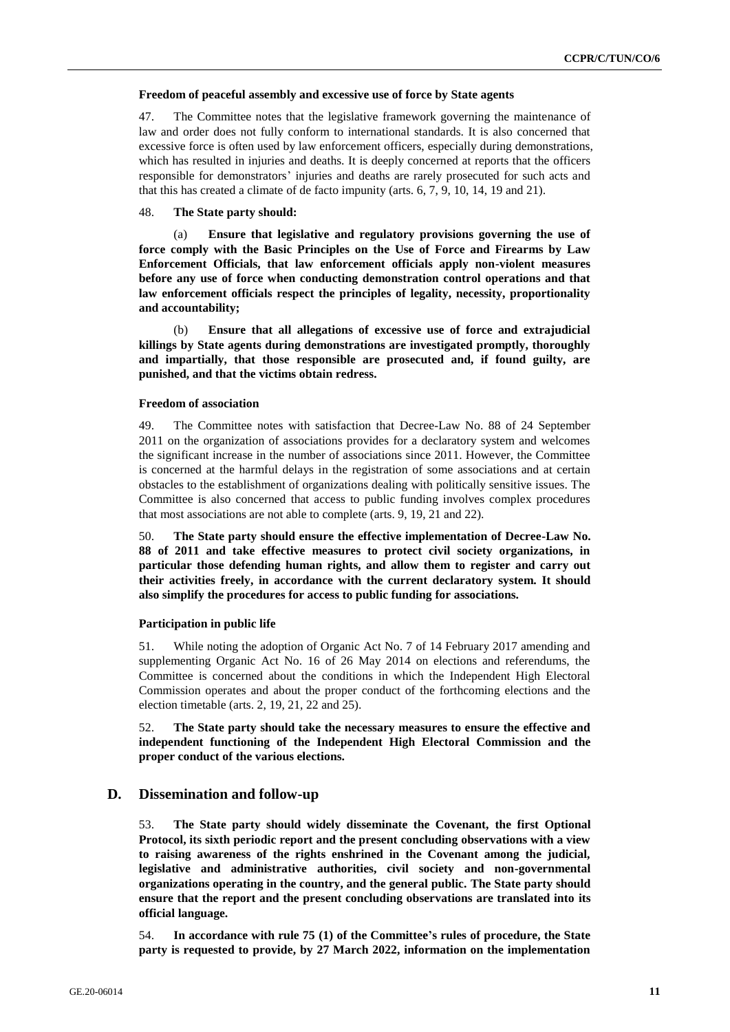#### **Freedom of peaceful assembly and excessive use of force by State agents**

47. The Committee notes that the legislative framework governing the maintenance of law and order does not fully conform to international standards. It is also concerned that excessive force is often used by law enforcement officers, especially during demonstrations, which has resulted in injuries and deaths. It is deeply concerned at reports that the officers responsible for demonstrators' injuries and deaths are rarely prosecuted for such acts and that this has created a climate of de facto impunity (arts. 6, 7, 9, 10, 14, 19 and 21).

#### 48. **The State party should:**

(a) **Ensure that legislative and regulatory provisions governing the use of force comply with the Basic Principles on the Use of Force and Firearms by Law Enforcement Officials, that law enforcement officials apply non-violent measures before any use of force when conducting demonstration control operations and that law enforcement officials respect the principles of legality, necessity, proportionality and accountability;**

(b) **Ensure that all allegations of excessive use of force and extrajudicial killings by State agents during demonstrations are investigated promptly, thoroughly and impartially, that those responsible are prosecuted and, if found guilty, are punished, and that the victims obtain redress.**

#### **Freedom of association**

49. The Committee notes with satisfaction that Decree-Law No. 88 of 24 September 2011 on the organization of associations provides for a declaratory system and welcomes the significant increase in the number of associations since 2011. However, the Committee is concerned at the harmful delays in the registration of some associations and at certain obstacles to the establishment of organizations dealing with politically sensitive issues. The Committee is also concerned that access to public funding involves complex procedures that most associations are not able to complete (arts. 9, 19, 21 and 22).

50. **The State party should ensure the effective implementation of Decree-Law No. 88 of 2011 and take effective measures to protect civil society organizations, in particular those defending human rights, and allow them to register and carry out their activities freely, in accordance with the current declaratory system. It should also simplify the procedures for access to public funding for associations.**

#### **Participation in public life**

51. While noting the adoption of Organic Act No. 7 of 14 February 2017 amending and supplementing Organic Act No. 16 of 26 May 2014 on elections and referendums, the Committee is concerned about the conditions in which the Independent High Electoral Commission operates and about the proper conduct of the forthcoming elections and the election timetable (arts. 2, 19, 21, 22 and 25).

52. **The State party should take the necessary measures to ensure the effective and independent functioning of the Independent High Electoral Commission and the proper conduct of the various elections.**

#### **D. Dissemination and follow-up**

53. **The State party should widely disseminate the Covenant, the first Optional Protocol, its sixth periodic report and the present concluding observations with a view to raising awareness of the rights enshrined in the Covenant among the judicial, legislative and administrative authorities, civil society and non-governmental organizations operating in the country, and the general public. The State party should ensure that the report and the present concluding observations are translated into its official language.**

54. **In accordance with rule 75 (1) of the Committee's rules of procedure, the State party is requested to provide, by 27 March 2022, information on the implementation**